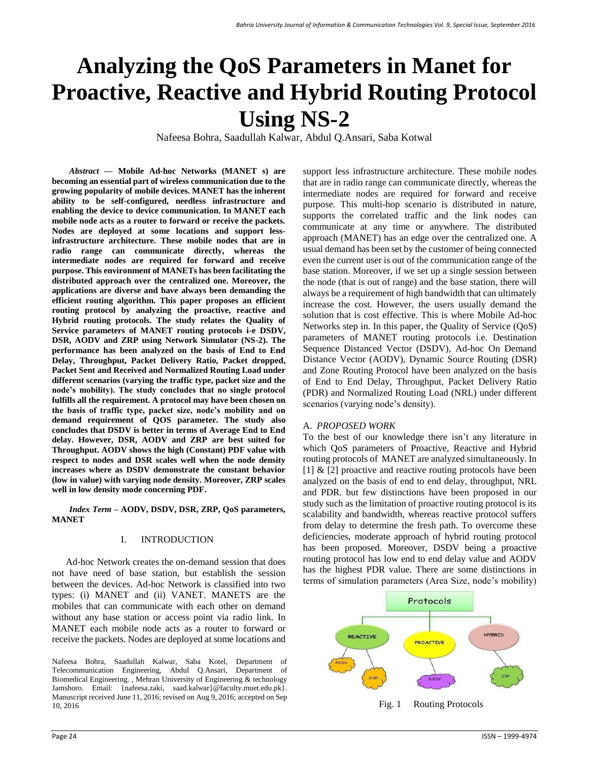# **Analyzing the QoS Parameters in Manet for Proactive, Reactive and Hybrid Routing Protocol Using NS-2**

Nafeesa Bohra, Saadullah Kalwar, Abdul Q.Ansari, Saba Kotwal

*Abstract* **— Mobile Ad-hoc Networks (MANET s) are becoming an essential part of wireless communication due to the growing popularity of mobile devices. MANET has the inherent ability to be self-configured, needless infrastructure and enabling the device to device communication. In MANET each mobile node acts as a router to forward or receive the packets. Nodes are deployed at some locations and support lessinfrastructure architecture. These mobile nodes that are in radio range can communicate directly, whereas the intermediate nodes are required for forward and receive purpose. This environment of MANETs has been facilitating the distributed approach over the centralized one. Moreover, the applications are diverse and have always been demanding the efficient routing algorithm. This paper proposes an efficient routing protocol by analyzing the proactive, reactive and Hybrid routing protocols. The study relates the Quality of Service parameters of MANET routing protocols i-e DSDV, DSR, AODV and ZRP using Network Simulator (NS-2). The performance has been analyzed on the basis of End to End Delay, Throughput, Packet Delivery Ratio, Packet dropped, Packet Sent and Received and Normalized Routing Load under different scenarios (varying the traffic type, packet size and the node's mobility). The study concludes that no single protocol fulfills all the requirement. A protocol may have been chosen on the basis of traffic type, packet size, node's mobility and on demand requirement of QOS parameter. The study also concludes that DSDV is better in terms of Average End to End delay. However, DSR, AODV and ZRP are best suited for Throughput. AODV shows the high (Constant) PDF value with respect to nodes and DSR scales well when the node density increases where as DSDV demonstrate the constant behavior (low in value) with varying node density. Moreover, ZRP scales well in low density mode concerning PDF.** 

*Index Term* **– AODV, DSDV, DSR, ZRP, QoS parameters, MANET**

#### I. INTRODUCTION

Ad-hoc Network creates the on-demand session that does not have need of base station, but establish the session between the devices. Ad-hoc Network is classified into two types: (i) MANET and (ii) VANET. MANETS are the mobiles that can communicate with each other on demand without any base station or access point via radio link. In MANET each mobile node acts as a router to forward or receive the packets. Nodes are deployed at some locations and support less infrastructure architecture. These mobile nodes that are in radio range can communicate directly, whereas the intermediate nodes are required for forward and receive purpose. This multi-hop scenario is distributed in nature, supports the correlated traffic and the link nodes can communicate at any time or anywhere. The distributed approach (MANET) has an edge over the centralized one. A usual demand has been set by the customer of being connected even the current user is out of the communication range of the base station. Moreover, if we set up a single session between the node (that is out of range) and the base station, there will always be a requirement of high bandwidth that can ultimately increase the cost. However, the users usually demand the solution that is cost effective. This is where Mobile Ad-hoc Networks step in. In this paper, the Quality of Service (QoS) parameters of MANET routing protocols i.e. Destination Sequence Distanced Vector (DSDV), Ad-hoc On Demand Distance Vector (AODV), Dynamic Source Routing (DSR) and Zone Routing Protocol have been analyzed on the basis of End to End Delay, Throughput, Packet Delivery Ratio (PDR) and Normalized Routing Load (NRL) under different scenarios (varying node's density).

## A. *PROPOSED WORK*

To the best of our knowledge there isn't any literature in which QoS parameters of Proactive, Reactive and Hybrid routing protocols of MANET are analyzed simultaneously. In [1] & [2] proactive and reactive routing protocols have been analyzed on the basis of end to end delay, throughput, NRL and PDR. but few distinctions have been proposed in our study such as the limitation of proactive routing protocol is its scalability and bandwidth, whereas reactive protocol suffers from delay to determine the fresh path. To overcome these deficiencies, moderate approach of hybrid routing protocol has been proposed. Moreover, DSDV being a proactive routing protocol has low end to end delay value and AODV has the highest PDR value. There are some distinctions in terms of simulation parameters (Area Size, node's mobility)



Nafeesa Bohra, Saadullah Kalwar, Saba Kotel, Department of Telecommunication Engineering, Abdul Q.Ansari, Department of Biomedical Engineering. , Mehran University of Engineering & technology Jamshoro. Email: {nafeesa.zaki, saad.kalwar}@faculty.muet.edu.pk}. Manuscript received June 11, 2016; revised on Aug 9, 2016; accepted on Sep 10, 2016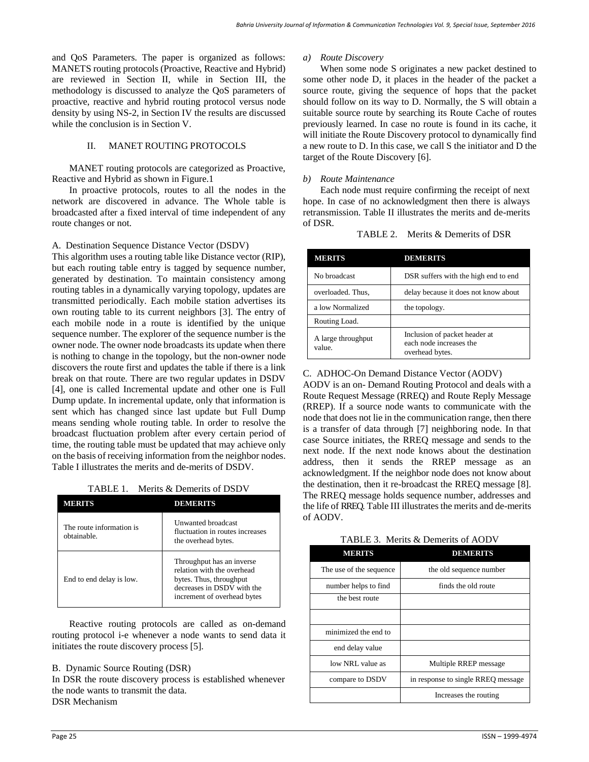and QoS Parameters. The paper is organized as follows: MANETS routing protocols (Proactive, Reactive and Hybrid) are reviewed in Section II, while in Section III, the methodology is discussed to analyze the QoS parameters of proactive, reactive and hybrid routing protocol versus node density by using NS-2, in Section IV the results are discussed while the conclusion is in Section V.

## II. MANET ROUTING PROTOCOLS

MANET routing protocols are categorized as Proactive, Reactive and Hybrid as shown in Figure.1

In proactive protocols, routes to all the nodes in the network are discovered in advance. The Whole table is broadcasted after a fixed interval of time independent of any route changes or not.

## A. Destination Sequence Distance Vector (DSDV)

This algorithm uses a routing table like Distance vector (RIP), but each routing table entry is tagged by sequence number, generated by destination. To maintain consistency among routing tables in a dynamically varying topology, updates are transmitted periodically. Each mobile station advertises its own routing table to its current neighbors [3]. The entry of each mobile node in a route is identified by the unique sequence number. The explorer of the sequence number is the owner node. The owner node broadcasts its update when there is nothing to change in the topology, but the non-owner node discovers the route first and updates the table if there is a link break on that route. There are two regular updates in DSDV [4], one is called Incremental update and other one is Full Dump update. In incremental update, only that information is sent which has changed since last update but Full Dump means sending whole routing table. In order to resolve the broadcast fluctuation problem after every certain period of time, the routing table must be updated that may achieve only on the basis of receiving information from the neighbor nodes. Table I illustrates the merits and de-merits of DSDV.

TABLE 1. Merits & Demerits of DSDV

| MERITS                                  | DEMERITS                                                                                                                                        |
|-----------------------------------------|-------------------------------------------------------------------------------------------------------------------------------------------------|
| The route information is<br>obtainable. | <b>Unwanted broadcast</b><br>fluctuation in routes increases<br>the overhead bytes.                                                             |
| End to end delay is low.                | Throughput has an inverse<br>relation with the overhead<br>bytes. Thus, throughput<br>decreases in DSDV with the<br>increment of overhead bytes |

Reactive routing protocols are called as on-demand routing protocol i-e whenever a node wants to send data it initiates the route discovery process [5].

## B. Dynamic Source Routing (DSR)

In DSR the route discovery process is established whenever the node wants to transmit the data. DSR Mechanism

## *a) Route Discovery*

When some node S originates a new packet destined to some other node D, it places in the header of the packet a source route, giving the sequence of hops that the packet should follow on its way to D. Normally, the S will obtain a suitable source route by searching its Route Cache of routes previously learned. In case no route is found in its cache, it will initiate the Route Discovery protocol to dynamically find a new route to D. In this case, we call S the initiator and D the target of the Route Discovery [6].

## *b) Route Maintenance*

Each node must require confirming the receipt of next hope. In case of no acknowledgment then there is always retransmission. Table II illustrates the merits and de-merits of DSR.

| TABLE 2. Merits & Demerits of DSR |  |
|-----------------------------------|--|
|                                   |  |

| <b>MERITS</b>                | <b>DEMERITS</b>                                                             |
|------------------------------|-----------------------------------------------------------------------------|
| No broadcast                 | DSR suffers with the high end to end                                        |
| overloaded. Thus,            | delay because it does not know about                                        |
| a low Normalized             | the topology.                                                               |
| Routing Load.                |                                                                             |
| A large throughput<br>value. | Inclusion of packet header at<br>each node increases the<br>overhead bytes. |

## C. ADHOC-On Demand Distance Vector (AODV)

AODV is an on- Demand Routing Protocol and deals with a Route Request Message (RREQ) and Route Reply Message (RREP). If a source node wants to communicate with the node that does not lie in the communication range, then there is a transfer of data through [7] neighboring node. In that case Source initiates, the RREQ message and sends to the next node. If the next node knows about the destination address, then it sends the RREP message as an acknowledgment. If the neighbor node does not know about the destination, then it re-broadcast the RREQ message [8]. The RREQ message holds sequence number, addresses and the life of RREQ. Table III illustrates the merits and de-merits of AODV.

| TABLE 3. Merits & Demerits of AODV |  |  |  |  |  |
|------------------------------------|--|--|--|--|--|
|------------------------------------|--|--|--|--|--|

| <b>MERITS</b>           | <b>DEMERITS</b>                    |
|-------------------------|------------------------------------|
| The use of the sequence | the old sequence number            |
| number helps to find    | finds the old route                |
| the best route          |                                    |
|                         |                                    |
| minimized the end to    |                                    |
| end delay value         |                                    |
| low NRL value as        | Multiple RREP message              |
| compare to DSDV         | in response to single RREQ message |
|                         | Increases the routing              |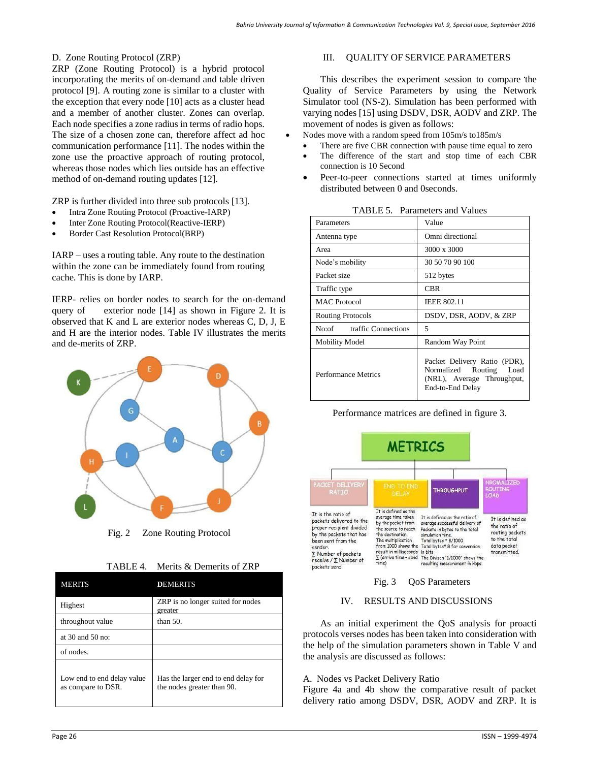### D. Zone Routing Protocol (ZRP)

ZRP (Zone Routing Protocol) is a hybrid protocol incorporating the merits of on-demand and table driven protocol [9]. A routing zone is similar to a cluster with the exception that every node [10] acts as a cluster head and a member of another cluster. Zones can overlap. Each node specifies a zone radius in terms of radio hops. The size of a chosen zone can, therefore affect ad hoc communication performance [11]. The nodes within the zone use the proactive approach of routing protocol, whereas those nodes which lies outside has an effective method of on-demand routing updates [12].

ZRP is further divided into three sub protocols [13].

- Intra Zone Routing Protocol (Proactive-IARP)
- Inter Zone Routing Protocol(Reactive-IERP)
- Border Cast Resolution Protocol(BRP)

IARP – uses a routing table. Any route to the destination within the zone can be immediately found from routing cache. This is done by IARP.

IERP- relies on border nodes to search for the on-demand query of exterior node [14] as shown in Figure 2. It is observed that K and L are exterior nodes whereas C, D, J, E and H are the interior nodes. Table IV illustrates the merits and de-merits of ZRP.



Fig. 2 Zone Routing Protocol

|  | TABLE 4. Merits & Demerits of ZRP |
|--|-----------------------------------|
|--|-----------------------------------|

| <b>MERITS</b>                                    | <b>DEMERITS</b>                                                   |
|--------------------------------------------------|-------------------------------------------------------------------|
| Highest                                          | ZRP is no longer suited for nodes<br>greater                      |
| throughout value                                 | than $50$ .                                                       |
| at $30$ and $50$ no:                             |                                                                   |
| of nodes.                                        |                                                                   |
| Low end to end delay value<br>as compare to DSR. | Has the larger end to end delay for<br>the nodes greater than 90. |

#### III. QUALITY OF SERVICE PARAMETERS

This describes the experiment session to compare the Quality of Service Parameters by using the Network Simulator tool (NS-2). Simulation has been performed with varying nodes [15] using DSDV, DSR, AODV and ZRP. The movement of nodes is given as follows:

- Nodes move with a random speed from 105m/s to185m/s
- There are five CBR connection with pause time equal to zero
- The difference of the start and stop time of each CBR connection is 10 Second
- Peer-to-peer connections started at times uniformly distributed between 0 and 0seconds.

|                              | Talameters and Values                                                                                     |
|------------------------------|-----------------------------------------------------------------------------------------------------------|
| Parameters                   | Value                                                                                                     |
| Antenna type                 | Omni directional                                                                                          |
| Area                         | 3000 x 3000                                                                                               |
| Node's mobility              | 30 50 70 90 100                                                                                           |
| Packet size                  | 512 bytes                                                                                                 |
| Traffic type                 | <b>CBR</b>                                                                                                |
| <b>MAC</b> Protocol          | <b>IEEE 802.11</b>                                                                                        |
| <b>Routing Protocols</b>     | DSDV, DSR, AODV, & ZRP                                                                                    |
| traffic Connections<br>No:of | 5                                                                                                         |
| <b>Mobility Model</b>        | Random Way Point                                                                                          |
| <b>Performance Metrics</b>   | Packet Delivery Ratio (PDR),<br>Normalized Routing Load<br>(NRL), Average Throughput,<br>End-to-End Delay |

TABLE 5. Parameters and Values

Performance matrices are defined in figure 3.



## Fig. 3 QoS Parameters

## IV. RESULTS AND DISCUSSIONS

As an initial experiment the QoS analysis for proacti protocols verses nodes has been taken into consideration with the help of the simulation parameters shown in Table V and the analysis are discussed as follows:

#### A. Nodes vs Packet Delivery Ratio

Figure 4a and 4b show the comparative result of packet delivery ratio among DSDV, DSR, AODV and ZRP. It is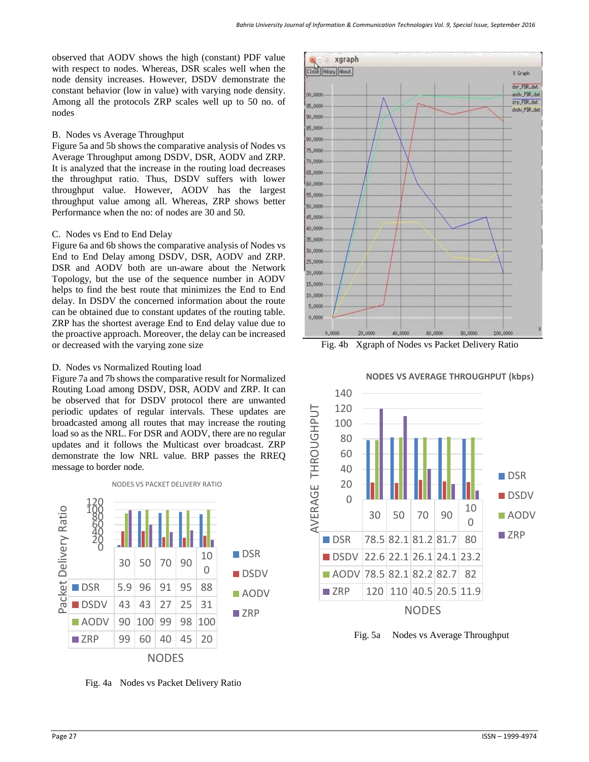observed that AODV shows the high (constant) PDF value with respect to nodes. Whereas, DSR scales well when the node density increases. However, DSDV demonstrate the constant behavior (low in value) with varying node density. Among all the protocols ZRP scales well up to 50 no. of nodes

#### B. Nodes vs Average Throughput

Figure 5a and 5b shows the comparative analysis of Nodes vs Average Throughput among DSDV, DSR, AODV and ZRP. It is analyzed that the increase in the routing load decreases the throughput ratio. Thus, DSDV suffers with lower throughput value. However, AODV has the largest throughput value among all. Whereas, ZRP shows better Performance when the no: of nodes are 30 and 50.

## C. Nodes vs End to End Delay

Figure 6a and 6b shows the comparative analysis of Nodes vs End to End Delay among DSDV, DSR, AODV and ZRP. DSR and AODV both are un-aware about the Network Topology, but the use of the sequence number in AODV helps to find the best route that minimizes the End to End delay. In DSDV the concerned information about the route can be obtained due to constant updates of the routing table. ZRP has the shortest average End to End delay value due to the proactive approach. Moreover, the delay can be increased or decreased with the varying zone size

## D. Nodes vs Normalized Routing load

Figure 7a and 7b shows the comparative result for Normalized Routing Load among DSDV, DSR, AODV and ZRP. It can be observed that for DSDV protocol there are unwanted periodic updates of regular intervals. These updates are broadcasted among all routes that may increase the routing load so as the NRL. For DSR and AODV, there are no regular updates and it follows the Multicast over broadcast. ZRP demonstrate the low NRL value. BRP passes the RREQ message to border node.

NODES VS PACKET DELIVERY RATIO

120<br>100<br>600<br>400<br>200<br>0 Packet Delivery Ratio Packet Delivery Ratio **DSR** 30 50 70 90  $10$ 0 **DSDV**  $\blacksquare$  DSR  $\big| 5.9 \big| 96 \big| 91 \big| 95 \big| 88$ ■AODV  $\blacksquare$  DSDV 43 43 27 25 31 **ZRP**  $\blacksquare$  AODV 90 100 99 98 100 ZRP | 99 | 60 | 40 | 45 | 20 NODES

Fig. 4a Nodes vs Packet Delivery Ratio







Fig. 5a Nodes vs Average Throughput

## **NODES VS AVERAGE THROUGHPUT (kbps)**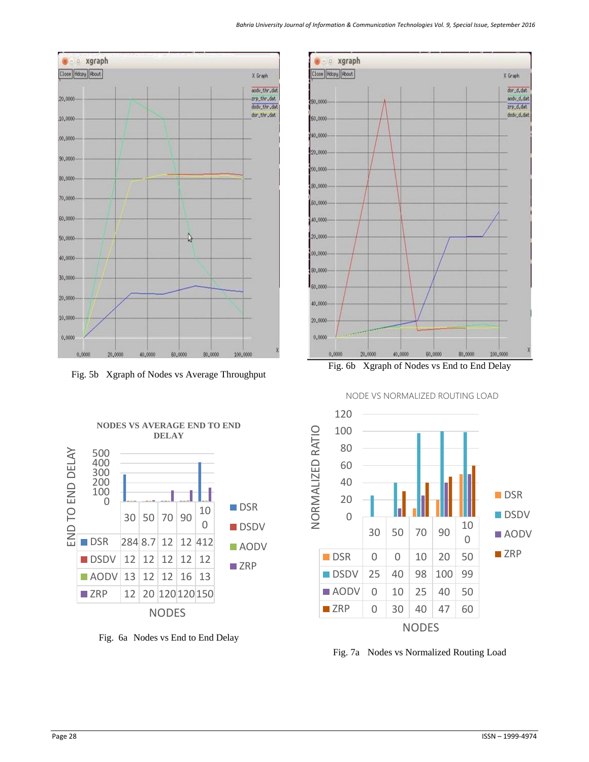

Fig. 5b Xgraph of Nodes vs Average Throughput



Fig. 6b Xgraph of Nodes vs End to End Delay





Fig. 7a Nodes vs Normalized Routing Load

**NODES VS AVERAGE END TO END DELAY** 



Fig. 6a Nodes vs End to End Delay